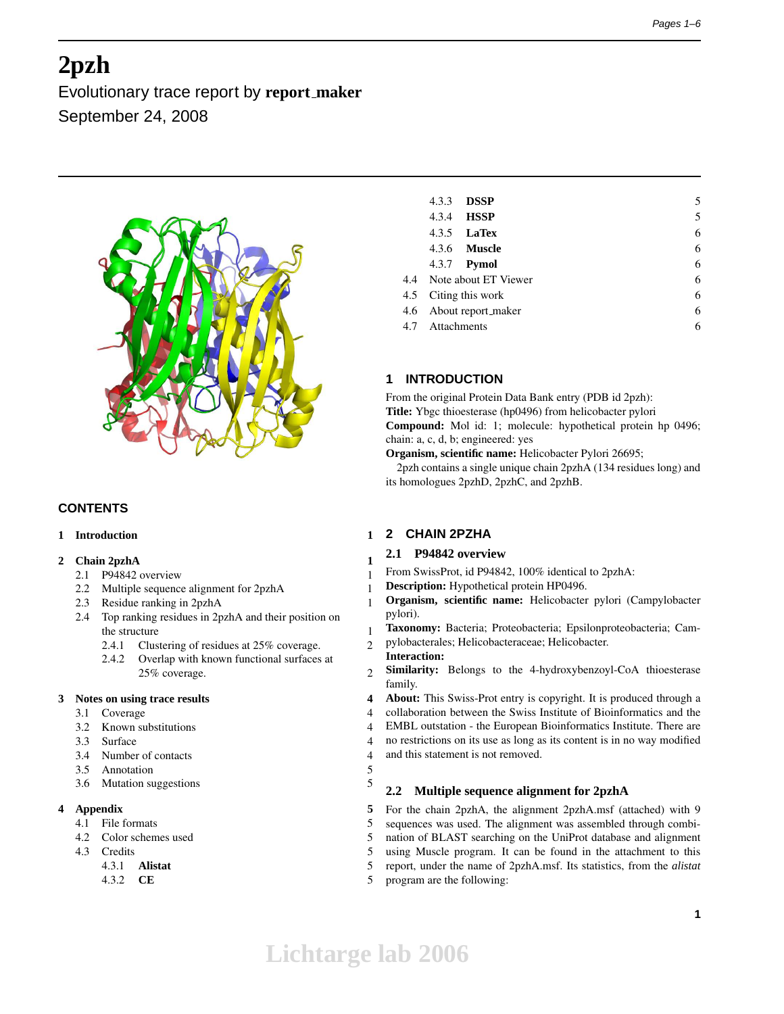# **2pzh**

Evolutionary trace report by **report maker** September 24, 2008



# **CONTENTS**

# **1 Introduction 1**

# **2 Chain 2pzhA 1**

- 2.1 P94842 overview 1
- 2.2 Multiple sequence alignment for 2pzhA 1
- 2.3 Residue ranking in 2pzhA 1
- 2.4 Top ranking residues in 2pzhA and their position on the structure 1
	- 2.4.1 Clustering of residues at 25% coverage. 2
	- 2.4.2 Overlap with known functional surfaces at 25% coverage. 2

# **3 Notes on using trace results 4**

- 3.1 Coverage 4
- 3.2 Known substitutions 4
- 3.3 Surface 4
- 3.4 Number of contacts 4
- 3.5 Annotation 5
- 3.6 Mutation suggestions 5

# **4 Appendix 5**

- 4.1 File formats 5
- 4.2 Color schemes used 5
- 4.3 Credits 5
	- 4.3.1 **Alistat** 5
	- 4.3.2 **CE** 5

| 4.3.3           | <b>DSSP</b>              | 5 |
|-----------------|--------------------------|---|
|                 | 4.3.4 <b>HSSP</b>        | 5 |
|                 | 4.3.5 <b>LaTex</b>       | 6 |
|                 | 4.3.6 <b>Muscle</b>      | 6 |
|                 | 4.3.7 <b>Pymol</b>       | 6 |
|                 | 4.4 Note about ET Viewer | 6 |
|                 | 4.5 Citing this work     | 6 |
|                 | 4.6 About report_maker   | 6 |
| 4.7 Attachments |                          | 6 |
|                 |                          |   |

# **1 INTRODUCTION**

From the original Protein Data Bank entry (PDB id 2pzh): **Title:** Ybgc thioesterase (hp0496) from helicobacter pylori **Compound:** Mol id: 1; molecule: hypothetical protein hp 0496; chain: a, c, d, b; engineered: yes

**Organism, scientific name:** Helicobacter Pylori 26695;

2pzh contains a single unique chain 2pzhA (134 residues long) and its homologues 2pzhD, 2pzhC, and 2pzhB.

# **2 CHAIN 2PZHA**

# **2.1 P94842 overview**

- From SwissProt, id P94842, 100% identical to 2pzhA:
- **Description:** Hypothetical protein HP0496.
- **Organism, scientific name:** Helicobacter pylori (Campylobacter pylori).
	- **Taxonomy:** Bacteria; Proteobacteria; Epsilonproteobacteria; Cam-
- pylobacterales; Helicobacteraceae; Helicobacter.
- **Interaction: Similarity:** Belongs to the 4-hydroxybenzoyl-CoA thioesterase family.
- **About:** This Swiss-Prot entry is copyright. It is produced through a collaboration between the Swiss Institute of Bioinformatics and the
- EMBL outstation the European Bioinformatics Institute. There are
- no restrictions on its use as long as its content is in no way modified
- and this statement is not removed.
- 

# **2.2 Multiple sequence alignment for 2pzhA**

For the chain 2pzhA, the alignment 2pzhA.msf (attached) with 9 sequences was used. The alignment was assembled through combination of BLAST searching on the UniProt database and alignment using Muscle program. It can be found in the attachment to this report, under the name of 2pzhA.msf. Its statistics, from the *alistat* program are the following: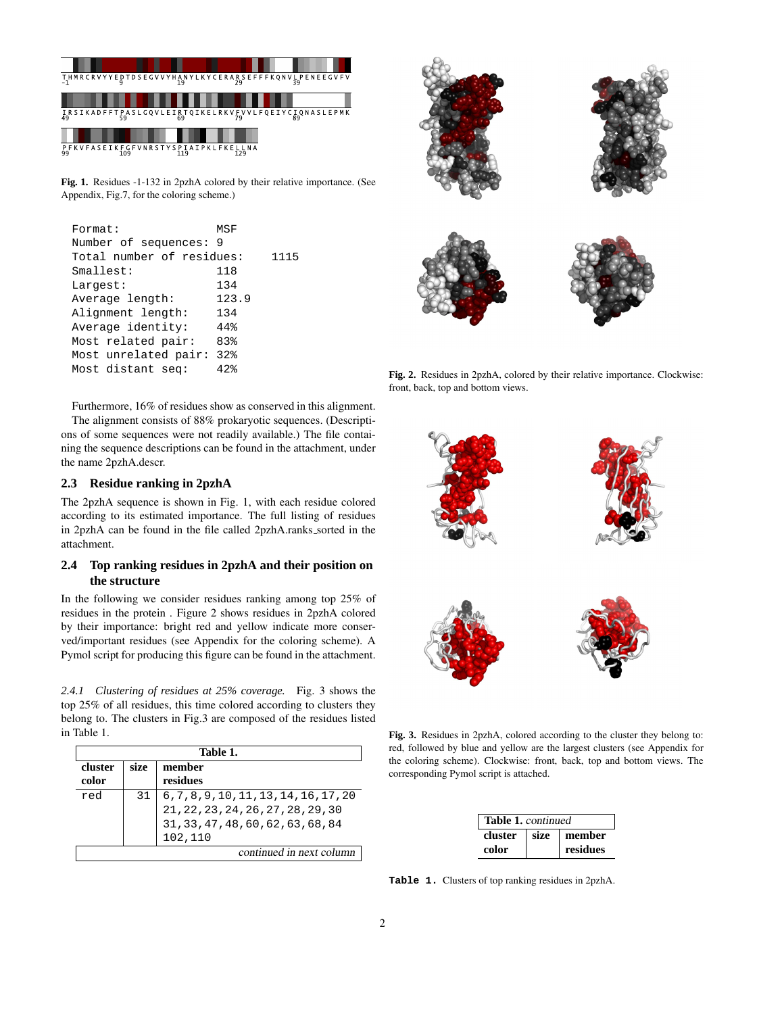

**Fig. 1.** Residues -1-132 in 2pzhA colored by their relative importance. (See Appendix, Fig.7, for the coloring scheme.)

| Format:                   | MSF   |      |
|---------------------------|-------|------|
| Number of sequences: 9    |       |      |
| Total number of residues: |       | 1115 |
| Smallest:                 | 118   |      |
| Largest:                  | 134   |      |
| Average length:           | 123.9 |      |
| Alignment length:         | 134   |      |
| Average identity:         | 44%   |      |
| Most related pair:        | 83%   |      |
| Most unrelated pair:      | 32%   |      |
| Most distant seq:         | 42    |      |
|                           |       |      |

Furthermore, 16% of residues show as conserved in this alignment. The alignment consists of 88% prokaryotic sequences. (Descriptions of some sequences were not readily available.) The file containing the sequence descriptions can be found in the attachment, under the name 2pzhA.descr.

## **2.3 Residue ranking in 2pzhA**

The 2pzhA sequence is shown in Fig. 1, with each residue colored according to its estimated importance. The full listing of residues in 2pzhA can be found in the file called 2pzhA.ranks sorted in the attachment.

## **2.4 Top ranking residues in 2pzhA and their position on the structure**

In the following we consider residues ranking among top 25% of residues in the protein . Figure 2 shows residues in 2pzhA colored by their importance: bright red and yellow indicate more conserved/important residues (see Appendix for the coloring scheme). A Pymol script for producing this figure can be found in the attachment.

*2.4.1 Clustering of residues at 25% coverage.* Fig. 3 shows the top 25% of all residues, this time colored according to clusters they belong to. The clusters in Fig.3 are composed of the residues listed in Table 1.

|                          | Table 1. |                                                                                                                         |  |  |
|--------------------------|----------|-------------------------------------------------------------------------------------------------------------------------|--|--|
| cluster                  | size     | member                                                                                                                  |  |  |
| color                    |          | residues                                                                                                                |  |  |
| red                      | 31       | $\begin{array}{l} 6,7,8,9,10,11,13,14,16,17,20 \\ 21,22,23,24,26,27,28,29,30 \\ 31,33,47,48,60,62,63,68,84 \end{array}$ |  |  |
|                          |          | 102,110                                                                                                                 |  |  |
| continued in next column |          |                                                                                                                         |  |  |



**Fig. 2.** Residues in 2pzhA, colored by their relative importance. Clockwise: front, back, top and bottom views.



**Fig. 3.** Residues in 2pzhA, colored according to the cluster they belong to: red, followed by blue and yellow are the largest clusters (see Appendix for the coloring scheme). Clockwise: front, back, top and bottom views. The corresponding Pymol script is attached.

| <b>Table 1.</b> continued |             |          |  |  |
|---------------------------|-------------|----------|--|--|
| cluster                   | <b>Size</b> | member   |  |  |
| color                     |             | residues |  |  |

**Table 1.** Clusters of top ranking residues in 2pzhA.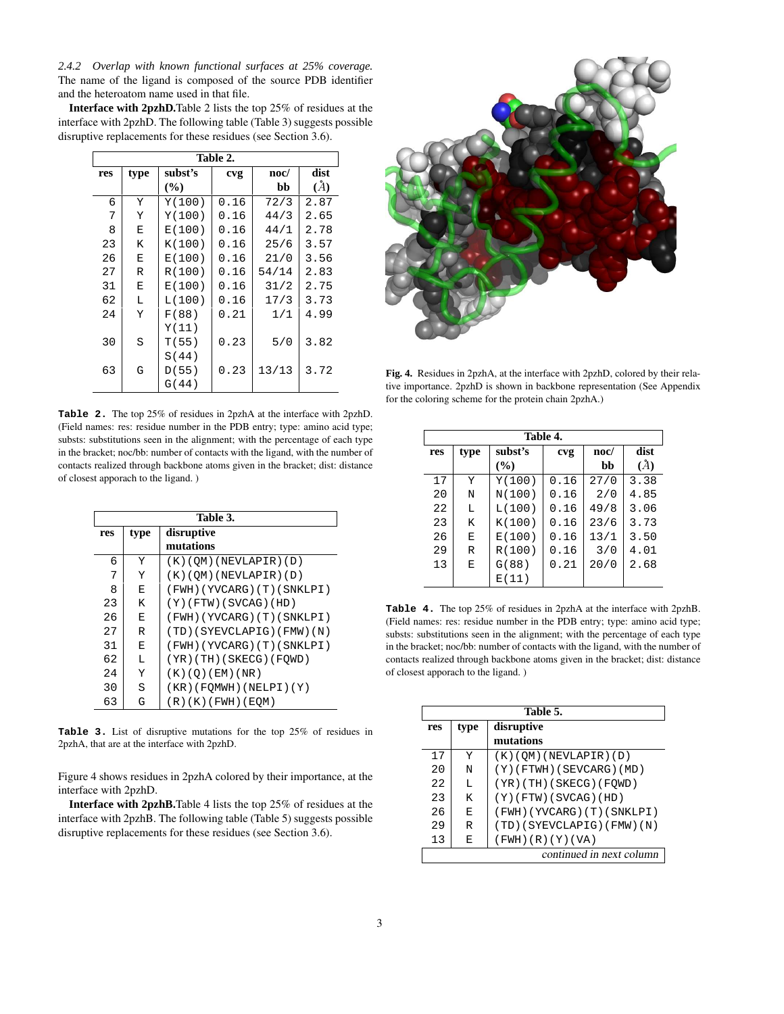*2.4.2 Overlap with known functional surfaces at 25% coverage.* The name of the ligand is composed of the source PDB identifier and the heteroatom name used in that file.

**Interface with 2pzhD.**Table 2 lists the top 25% of residues at the interface with 2pzhD. The following table (Table 3) suggests possible disruptive replacements for these residues (see Section 3.6).

|     | Table 2. |         |      |       |      |  |
|-----|----------|---------|------|-------|------|--|
| res | type     | subst's | cvg  | noc/  | dist |  |
|     |          | (%)     |      | bb    | (A)  |  |
| 6   | Y        | Y(100)  | 0.16 | 72/3  | 2.87 |  |
| 7   | Y        | Y(100)  | 0.16 | 44/3  | 2.65 |  |
| 8   | E        | E(100)  | 0.16 | 44/1  | 2.78 |  |
| 23  | K        | K(100)  | 0.16 | 25/6  | 3.57 |  |
| 26  | E        | E(100)  | 0.16 | 21/0  | 3.56 |  |
| 27  | R        | R(100)  | 0.16 | 54/14 | 2.83 |  |
| 31  | E        | E(100)  | 0.16 | 31/2  | 2.75 |  |
| 62  | L        | L(100)  | 0.16 | 17/3  | 3.73 |  |
| 24  | Y        | F(88)   | 0.21 | 1/1   | 4.99 |  |
|     |          | Y(11)   |      |       |      |  |
| 30  | S        | T(55)   | 0.23 | 5/0   | 3.82 |  |
|     |          | S(44)   |      |       |      |  |
| 63  | G        | D(55)   | 0.23 | 13/13 | 3.72 |  |
|     |          | G(44)   |      |       |      |  |
|     |          |         |      |       |      |  |

**Table 2.** The top 25% of residues in 2pzhA at the interface with 2pzhD. (Field names: res: residue number in the PDB entry; type: amino acid type; substs: substitutions seen in the alignment; with the percentage of each type in the bracket; noc/bb: number of contacts with the ligand, with the number of contacts realized through backbone atoms given in the bracket; dist: distance of closest apporach to the ligand. )

|     | Table 3. |                            |  |  |  |
|-----|----------|----------------------------|--|--|--|
| res | type     | disruptive                 |  |  |  |
|     |          | mutations                  |  |  |  |
| 6   | Y        | (K)(OM)(NEVLAPIR)(D)       |  |  |  |
| 7   | Y        | $(K)$ (QM) (NEVLAPIR) (D)  |  |  |  |
| 8   | E        | (FWH)(YVCARG)(T)(SNKLPI)   |  |  |  |
| 23  | K        | $(Y)$ (FTW) (SVCAG) (HD)   |  |  |  |
| 26  | E        | (FWH)(YVCARG)(T)(SNKLPI)   |  |  |  |
| 27  | R        | (TD)(SYEVCLAPIG)(FMW)(N)   |  |  |  |
| 31  | E        | (FWH)(YVCARG)(T)(SNKLPI)   |  |  |  |
| 62  | L        | (YR)(TH)(SKECG)(FQWD)      |  |  |  |
| 24  | Y        | (K)(O)(EM)(NR)             |  |  |  |
| 30  | S        | $(KR)$ (FOMWH) (NELPI) (Y) |  |  |  |
| 63  | G        | (R)(K)(FWH)(EQM)           |  |  |  |

**Table 3.** List of disruptive mutations for the top 25% of residues in 2pzhA, that are at the interface with 2pzhD.

Figure 4 shows residues in 2pzhA colored by their importance, at the interface with 2pzhD.

**Interface with 2pzhB.**Table 4 lists the top 25% of residues at the interface with 2pzhB. The following table (Table 5) suggests possible disruptive replacements for these residues (see Section 3.6).



**Fig. 4.** Residues in 2pzhA, at the interface with 2pzhD, colored by their relative importance. 2pzhD is shown in backbone representation (See Appendix for the coloring scheme for the protein chain 2pzhA.)

|     | Table 4. |         |      |      |      |  |
|-----|----------|---------|------|------|------|--|
| res | type     | subst's | cvg  | noc/ | dist |  |
|     |          | $($ %)  |      | bb   | (A)  |  |
| 17  | Υ        | Y(100)  | 0.16 | 27/0 | 3.38 |  |
| 20  | N        | N(100)  | 0.16 | 2/0  | 4.85 |  |
| 22  | L        | L(100)  | 0.16 | 49/8 | 3.06 |  |
| 23  | K        | K(100)  | 0.16 | 23/6 | 3.73 |  |
| 26  | E        | E(100)  | 0.16 | 13/1 | 3.50 |  |
| 29  | R        | R(100)  | 0.16 | 3/0  | 4.01 |  |
| 13  | E        | G(88)   | 0.21 | 20/0 | 2.68 |  |
|     |          | E(11)   |      |      |      |  |

**Table 4.** The top 25% of residues in 2pzhA at the interface with 2pzhB. (Field names: res: residue number in the PDB entry; type: amino acid type; substs: substitutions seen in the alignment; with the percentage of each type in the bracket; noc/bb: number of contacts with the ligand, with the number of contacts realized through backbone atoms given in the bracket; dist: distance of closest apporach to the ligand. )

|     | Table 5.                 |                            |  |  |  |
|-----|--------------------------|----------------------------|--|--|--|
| res | type                     | disruptive                 |  |  |  |
|     |                          | mutations                  |  |  |  |
| 17  | Y                        | (K)(OM)(NEVLAPIR)(D)       |  |  |  |
| 20  | N                        | (Y) (FTWH) (SEVCARG) (MD)  |  |  |  |
| 22  | т.                       | $(YR)$ (TH) (SKECG) (FOWD) |  |  |  |
| 23  | K                        | $(Y)$ (FTW) (SVCAG) (HD)   |  |  |  |
| 26  | F.                       | (FWH)(YVCARG)(T)(SNKLPI)   |  |  |  |
| 29  | R                        | (TD)(SYEVCLAPIG)(FMW)(N)   |  |  |  |
| 13  | Е                        | (FWH)(R)(Y)(VA)            |  |  |  |
|     | continued in next column |                            |  |  |  |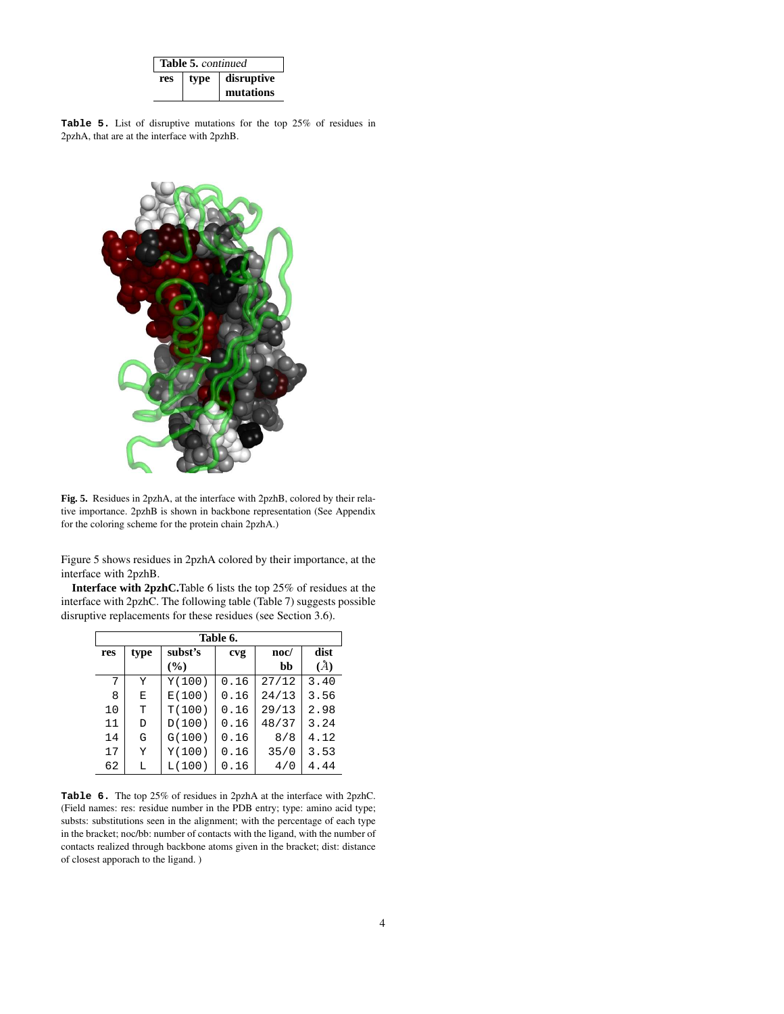| Table 5. continued |      |            |  |  |
|--------------------|------|------------|--|--|
| res                | type | disruptive |  |  |
|                    |      | mutations  |  |  |

**Table 5.** List of disruptive mutations for the top 25% of residues in 2pzhA, that are at the interface with 2pzhB.



**Fig. 5.** Residues in 2pzhA, at the interface with 2pzhB, colored by their relative importance. 2pzhB is shown in backbone representation (See Appendix for the coloring scheme for the protein chain 2pzhA.)

Figure 5 shows residues in 2pzhA colored by their importance, at the interface with 2pzhB.

**Interface with 2pzhC.**Table 6 lists the top 25% of residues at the interface with 2pzhC. The following table (Table 7) suggests possible disruptive replacements for these residues (see Section 3.6).

| Table 6. |      |         |      |       |      |
|----------|------|---------|------|-------|------|
| res      | type | subst's | cvg  | noc/  | dist |
|          |      | (%)     |      | bb    | (A)  |
| 7        | Y    | Y(100)  | 0.16 | 27/12 | 3.40 |
| 8        | Е    | E(100)  | 0.16 | 24/13 | 3.56 |
| 10       | T    | T(100)  | 0.16 | 29/13 | 2.98 |
| 11       | D    | D(100)  | 0.16 | 48/37 | 3.24 |
| 14       | G    | G(100)  | 0.16 | 8/8   | 4.12 |
| 17       | Y    | Y(100)  | 0.16 | 35/0  | 3.53 |
| 62       | L    | L(100)  | 0.16 | 4/0   | 4.44 |

**Table 6.** The top 25% of residues in 2pzhA at the interface with 2pzhC. (Field names: res: residue number in the PDB entry; type: amino acid type; substs: substitutions seen in the alignment; with the percentage of each type in the bracket; noc/bb: number of contacts with the ligand, with the number of contacts realized through backbone atoms given in the bracket; dist: distance of closest apporach to the ligand. )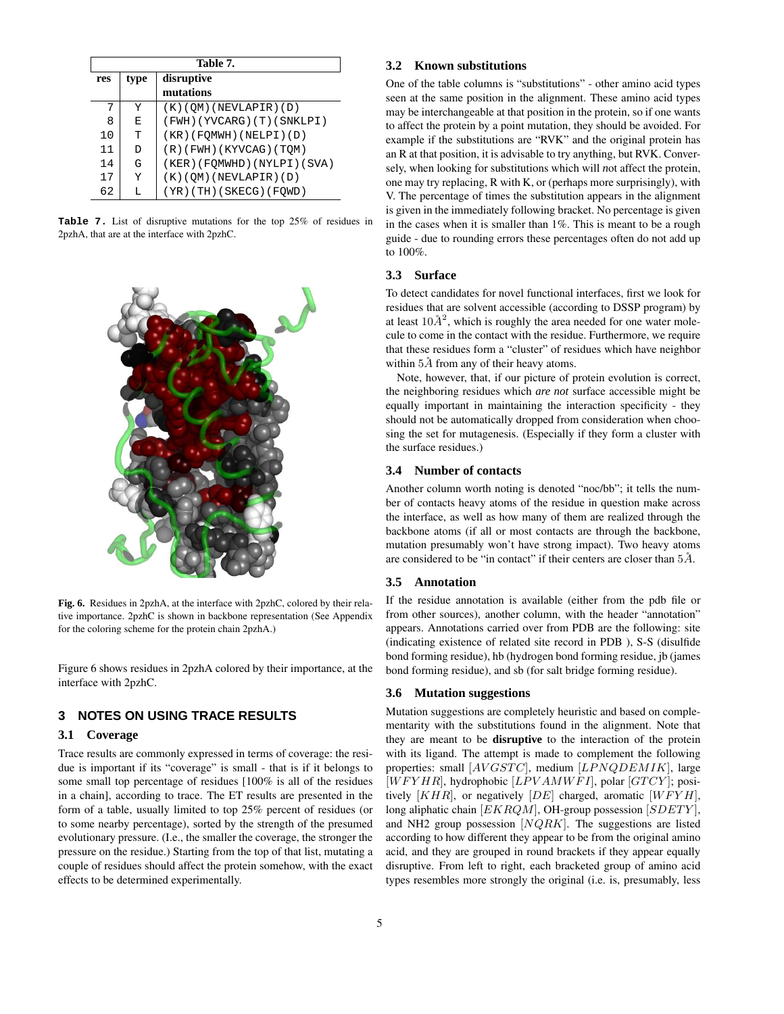|     | Table 7. |                              |  |  |
|-----|----------|------------------------------|--|--|
| res | type     | disruptive                   |  |  |
|     |          | mutations                    |  |  |
| 7   | Y        | (K)(QM)(NEVLAPIR)(D)         |  |  |
| 8   | E        | (FWH)(YVCARG)(T)(SNKLPI)     |  |  |
| 10  | т        | (KR)(FQMWH)(NELPI)(D)        |  |  |
| 11  | D.       | $(R)$ (FWH) (KYVCAG) (TQM)   |  |  |
| 14  | G        | (KER) (FOMWHD) (NYLPI) (SVA) |  |  |
| 17  | Y        | (K)(QM)(NEVLAPIR)(D)         |  |  |
| 62  | L        | (YR)(TH)(SKECG)(FQWD)        |  |  |

**Table 7.** List of disruptive mutations for the top 25% of residues in 2pzhA, that are at the interface with 2pzhC.



**Fig. 6.** Residues in 2pzhA, at the interface with 2pzhC, colored by their relative importance. 2pzhC is shown in backbone representation (See Appendix for the coloring scheme for the protein chain 2pzhA.)

Figure 6 shows residues in 2pzhA colored by their importance, at the interface with 2pzhC.

# **3 NOTES ON USING TRACE RESULTS**

#### **3.1 Coverage**

Trace results are commonly expressed in terms of coverage: the residue is important if its "coverage" is small - that is if it belongs to some small top percentage of residues [100% is all of the residues in a chain], according to trace. The ET results are presented in the form of a table, usually limited to top 25% percent of residues (or to some nearby percentage), sorted by the strength of the presumed evolutionary pressure. (I.e., the smaller the coverage, the stronger the pressure on the residue.) Starting from the top of that list, mutating a couple of residues should affect the protein somehow, with the exact effects to be determined experimentally.

#### **3.2 Known substitutions**

One of the table columns is "substitutions" - other amino acid types seen at the same position in the alignment. These amino acid types may be interchangeable at that position in the protein, so if one wants to affect the protein by a point mutation, they should be avoided. For example if the substitutions are "RVK" and the original protein has an R at that position, it is advisable to try anything, but RVK. Conversely, when looking for substitutions which will *n*ot affect the protein, one may try replacing, R with K, or (perhaps more surprisingly), with V. The percentage of times the substitution appears in the alignment is given in the immediately following bracket. No percentage is given in the cases when it is smaller than 1%. This is meant to be a rough guide - due to rounding errors these percentages often do not add up to 100%.

## **3.3 Surface**

To detect candidates for novel functional interfaces, first we look for residues that are solvent accessible (according to DSSP program) by at least  $10\AA^2$ , which is roughly the area needed for one water molecule to come in the contact with the residue. Furthermore, we require that these residues form a "cluster" of residues which have neighbor within  $5\AA$  from any of their heavy atoms.

Note, however, that, if our picture of protein evolution is correct, the neighboring residues which *are not* surface accessible might be equally important in maintaining the interaction specificity - they should not be automatically dropped from consideration when choosing the set for mutagenesis. (Especially if they form a cluster with the surface residues.)

#### **3.4 Number of contacts**

Another column worth noting is denoted "noc/bb"; it tells the number of contacts heavy atoms of the residue in question make across the interface, as well as how many of them are realized through the backbone atoms (if all or most contacts are through the backbone, mutation presumably won't have strong impact). Two heavy atoms are considered to be "in contact" if their centers are closer than  $5\AA$ .

#### **3.5 Annotation**

If the residue annotation is available (either from the pdb file or from other sources), another column, with the header "annotation" appears. Annotations carried over from PDB are the following: site (indicating existence of related site record in PDB ), S-S (disulfide bond forming residue), hb (hydrogen bond forming residue, jb (james bond forming residue), and sb (for salt bridge forming residue).

#### **3.6 Mutation suggestions**

Mutation suggestions are completely heuristic and based on complementarity with the substitutions found in the alignment. Note that they are meant to be **disruptive** to the interaction of the protein with its ligand. The attempt is made to complement the following properties: small  $[AVGSTC]$ , medium  $[LPNQDEMIK]$ , large  $[WFYHR]$ , hydrophobic  $[LPVAMWFI]$ , polar  $[GTCY]$ ; positively  $[KHR]$ , or negatively  $[DE]$  charged, aromatic  $[WFYH]$ , long aliphatic chain [EKRQM], OH-group possession [SDETY], and NH2 group possession  $[NQRK]$ . The suggestions are listed according to how different they appear to be from the original amino acid, and they are grouped in round brackets if they appear equally disruptive. From left to right, each bracketed group of amino acid types resembles more strongly the original (i.e. is, presumably, less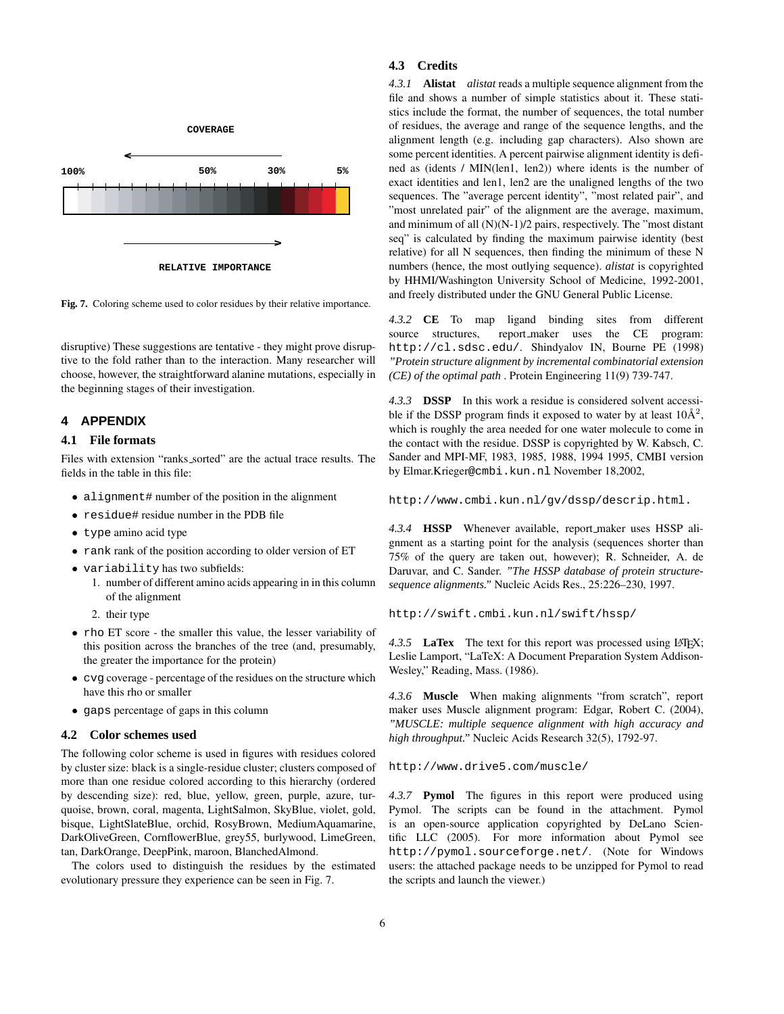

**Fig. 7.** Coloring scheme used to color residues by their relative importance.

disruptive) These suggestions are tentative - they might prove disruptive to the fold rather than to the interaction. Many researcher will choose, however, the straightforward alanine mutations, especially in the beginning stages of their investigation.

# **4 APPENDIX**

# **4.1 File formats**

Files with extension "ranks sorted" are the actual trace results. The fields in the table in this file:

- alignment# number of the position in the alignment
- residue# residue number in the PDB file
- type amino acid type
- rank rank of the position according to older version of ET
- variability has two subfields:
	- 1. number of different amino acids appearing in in this column of the alignment
	- 2. their type
- rho ET score the smaller this value, the lesser variability of this position across the branches of the tree (and, presumably, the greater the importance for the protein)
- cvg coverage percentage of the residues on the structure which have this rho or smaller
- gaps percentage of gaps in this column

#### **4.2 Color schemes used**

The following color scheme is used in figures with residues colored by cluster size: black is a single-residue cluster; clusters composed of more than one residue colored according to this hierarchy (ordered by descending size): red, blue, yellow, green, purple, azure, turquoise, brown, coral, magenta, LightSalmon, SkyBlue, violet, gold, bisque, LightSlateBlue, orchid, RosyBrown, MediumAquamarine, DarkOliveGreen, CornflowerBlue, grey55, burlywood, LimeGreen, tan, DarkOrange, DeepPink, maroon, BlanchedAlmond.

The colors used to distinguish the residues by the estimated evolutionary pressure they experience can be seen in Fig. 7.

#### **4.3 Credits**

*4.3.1* **Alistat** *alistat* reads a multiple sequence alignment from the file and shows a number of simple statistics about it. These statistics include the format, the number of sequences, the total number of residues, the average and range of the sequence lengths, and the alignment length (e.g. including gap characters). Also shown are some percent identities. A percent pairwise alignment identity is defined as (idents / MIN(len1, len2)) where idents is the number of exact identities and len1, len2 are the unaligned lengths of the two sequences. The "average percent identity", "most related pair", and "most unrelated pair" of the alignment are the average, maximum, and minimum of all (N)(N-1)/2 pairs, respectively. The "most distant seq" is calculated by finding the maximum pairwise identity (best relative) for all N sequences, then finding the minimum of these N numbers (hence, the most outlying sequence). *alistat* is copyrighted by HHMI/Washington University School of Medicine, 1992-2001, and freely distributed under the GNU General Public License.

*4.3.2* **CE** To map ligand binding sites from different source structures, report maker uses the CE program: http://cl.sdsc.edu/. Shindyalov IN, Bourne PE (1998) *"Protein structure alignment by incremental combinatorial extension (CE) of the optimal path* . Protein Engineering 11(9) 739-747.

*4.3.3* **DSSP** In this work a residue is considered solvent accessible if the DSSP program finds it exposed to water by at least  $10\text{\AA}^2$ , which is roughly the area needed for one water molecule to come in the contact with the residue. DSSP is copyrighted by W. Kabsch, C. Sander and MPI-MF, 1983, 1985, 1988, 1994 1995, CMBI version by Elmar.Krieger@cmbi.kun.nl November 18,2002,

http://www.cmbi.kun.nl/gv/dssp/descrip.html.

*4.3.4* **HSSP** Whenever available, report maker uses HSSP alignment as a starting point for the analysis (sequences shorter than 75% of the query are taken out, however); R. Schneider, A. de Daruvar, and C. Sander. *"The HSSP database of protein structuresequence alignments."* Nucleic Acids Res., 25:226–230, 1997.

http://swift.cmbi.kun.nl/swift/hssp/

4.3.5 **LaTex** The text for this report was processed using LAT<sub>EX</sub>; Leslie Lamport, "LaTeX: A Document Preparation System Addison-Wesley," Reading, Mass. (1986).

*4.3.6* **Muscle** When making alignments "from scratch", report maker uses Muscle alignment program: Edgar, Robert C. (2004), *"MUSCLE: multiple sequence alignment with high accuracy and high throughput."* Nucleic Acids Research 32(5), 1792-97.

http://www.drive5.com/muscle/

*4.3.7* **Pymol** The figures in this report were produced using Pymol. The scripts can be found in the attachment. Pymol is an open-source application copyrighted by DeLano Scientific LLC (2005). For more information about Pymol see http://pymol.sourceforge.net/. (Note for Windows users: the attached package needs to be unzipped for Pymol to read the scripts and launch the viewer.)